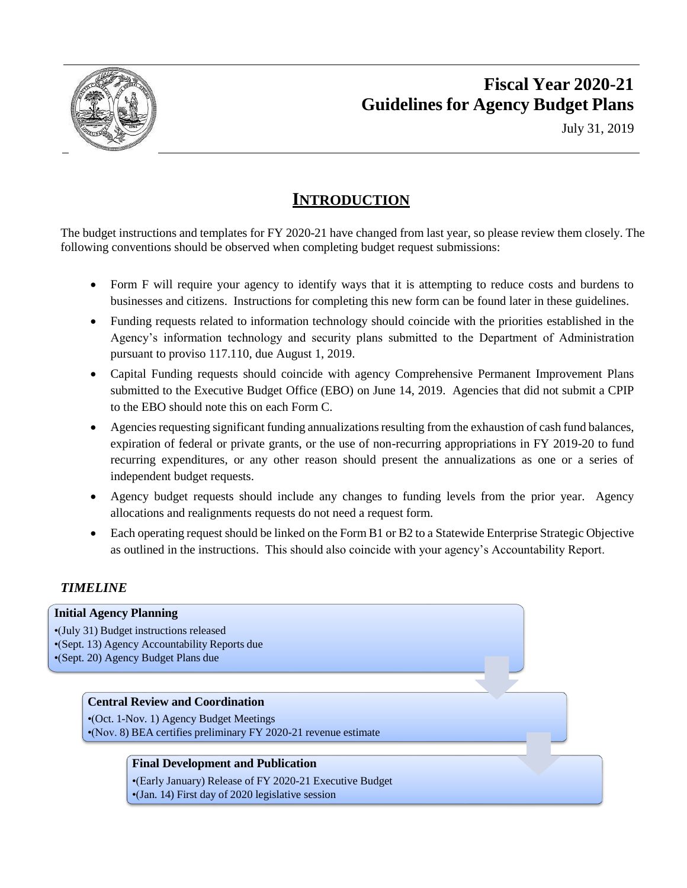

# **Fiscal Year 2020-21 Guidelines for Agency Budget Plans**

July 31, 2019

# **INTRODUCTION**

The budget instructions and templates for FY 2020-21 have changed from last year, so please review them closely. The following conventions should be observed when completing budget request submissions:

- Form F will require your agency to identify ways that it is attempting to reduce costs and burdens to businesses and citizens. Instructions for completing this new form can be found later in these guidelines.
- Funding requests related to information technology should coincide with the priorities established in the Agency's information technology and security plans submitted to the Department of Administration pursuant to proviso 117.110, due August 1, 2019.
- Capital Funding requests should coincide with agency Comprehensive Permanent Improvement Plans submitted to the Executive Budget Office (EBO) on June 14, 2019. Agencies that did not submit a CPIP to the EBO should note this on each Form C.
- Agencies requesting significant funding annualizations resulting from the exhaustion of cash fund balances, expiration of federal or private grants, or the use of non-recurring appropriations in FY 2019-20 to fund recurring expenditures, or any other reason should present the annualizations as one or a series of independent budget requests.
- Agency budget requests should include any changes to funding levels from the prior year. Agency allocations and realignments requests do not need a request form.
- Each operating request should be linked on the Form B1 or B2 to a Statewide Enterprise Strategic Objective as outlined in the instructions. This should also coincide with your agency's Accountability Report.

# *TIMELINE*

# **Initial Agency Planning** •(July 31) Budget instructions released •(Sept. 13) Agency Accountability Reports due •(Sept. 20) Agency Budget Plans due **Central Review and Coordination** •(Oct. 1-Nov. 1) Agency Budget Meetings •(Nov. 8) BEA certifies preliminary FY 2020-21 revenue estimate **Final Development and Publication** •(Early January) Release of FY 2020-21 Executive Budget •(Jan. 14) First day of 2020 legislative session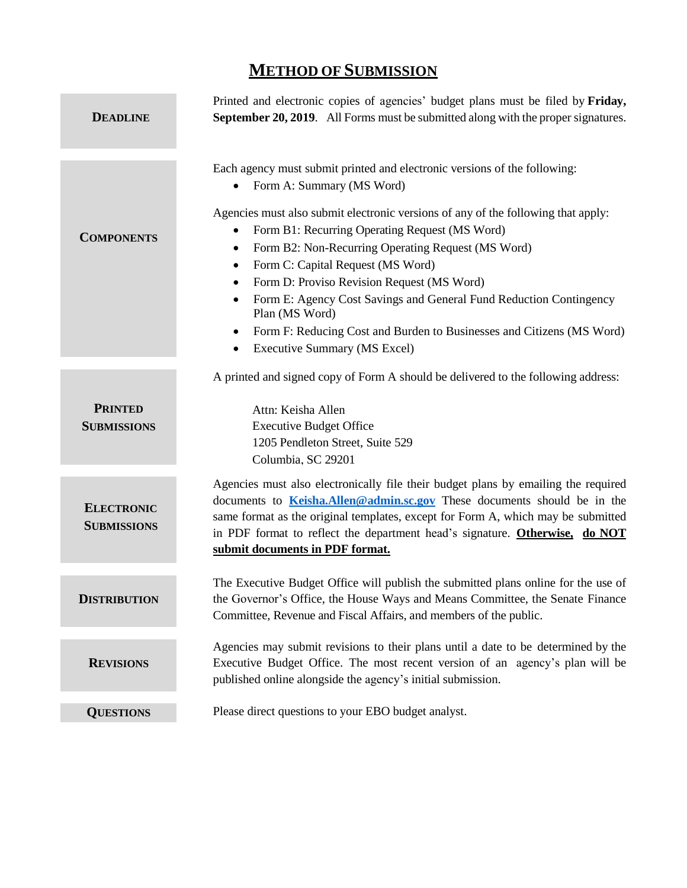# **METHOD OF SUBMISSION**

| <b>DEADLINE</b>                         | Printed and electronic copies of agencies' budget plans must be filed by Friday,<br>September 20, 2019. All Forms must be submitted along with the proper signatures.                                                                                                                                                                                                                                                                                                                                                                                                                                                                                             |
|-----------------------------------------|-------------------------------------------------------------------------------------------------------------------------------------------------------------------------------------------------------------------------------------------------------------------------------------------------------------------------------------------------------------------------------------------------------------------------------------------------------------------------------------------------------------------------------------------------------------------------------------------------------------------------------------------------------------------|
| <b>COMPONENTS</b>                       | Each agency must submit printed and electronic versions of the following:<br>Form A: Summary (MS Word)<br>$\bullet$<br>Agencies must also submit electronic versions of any of the following that apply:<br>Form B1: Recurring Operating Request (MS Word)<br>$\bullet$<br>Form B2: Non-Recurring Operating Request (MS Word)<br>٠<br>Form C: Capital Request (MS Word)<br>$\bullet$<br>Form D: Proviso Revision Request (MS Word)<br>٠<br>Form E: Agency Cost Savings and General Fund Reduction Contingency<br>Plan (MS Word)<br>Form F: Reducing Cost and Burden to Businesses and Citizens (MS Word)<br>$\bullet$<br><b>Executive Summary (MS Excel)</b><br>٠ |
| <b>PRINTED</b><br><b>SUBMISSIONS</b>    | A printed and signed copy of Form A should be delivered to the following address:<br>Attn: Keisha Allen<br><b>Executive Budget Office</b><br>1205 Pendleton Street, Suite 529<br>Columbia, SC 29201                                                                                                                                                                                                                                                                                                                                                                                                                                                               |
| <b>ELECTRONIC</b><br><b>SUBMISSIONS</b> | Agencies must also electronically file their budget plans by emailing the required<br>documents to <b>Keisha.Allen@admin.sc.gov</b> These documents should be in the<br>same format as the original templates, except for Form A, which may be submitted<br>in PDF format to reflect the department head's signature. Otherwise, do NOT<br>submit documents in PDF format.                                                                                                                                                                                                                                                                                        |
| <b>DISTRIBUTION</b>                     | The Executive Budget Office will publish the submitted plans online for the use of<br>the Governor's Office, the House Ways and Means Committee, the Senate Finance<br>Committee, Revenue and Fiscal Affairs, and members of the public.                                                                                                                                                                                                                                                                                                                                                                                                                          |
| <b>REVISIONS</b>                        | Agencies may submit revisions to their plans until a date to be determined by the<br>Executive Budget Office. The most recent version of an agency's plan will be<br>published online alongside the agency's initial submission.                                                                                                                                                                                                                                                                                                                                                                                                                                  |
| <b>QUESTIONS</b>                        | Please direct questions to your EBO budget analyst.                                                                                                                                                                                                                                                                                                                                                                                                                                                                                                                                                                                                               |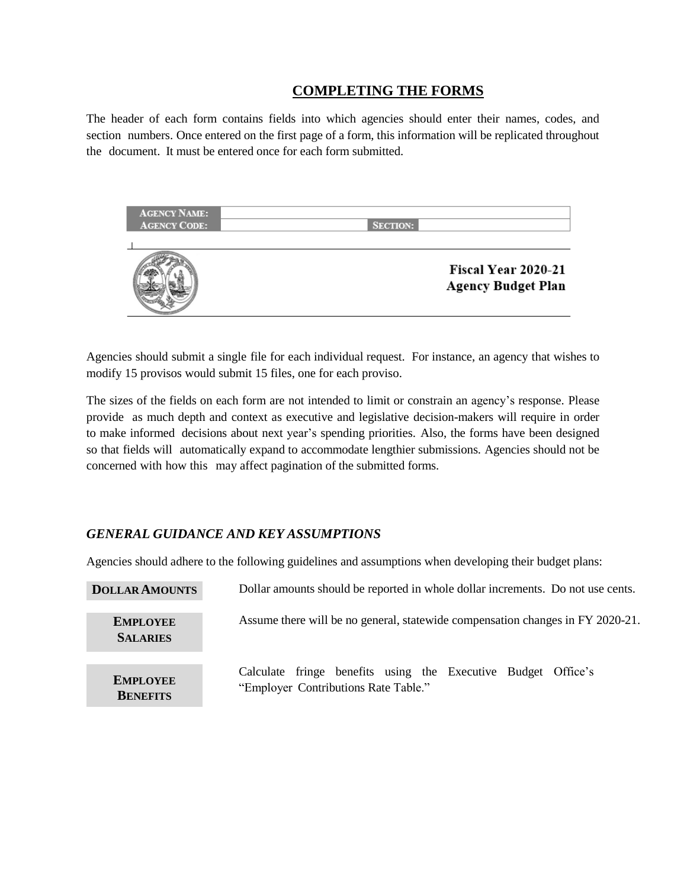# **COMPLETING THE FORMS**

The header of each form contains fields into which agencies should enter their names, codes, and section numbers. Once entered on the first page of a form, this information will be replicated throughout the document. It must be entered once for each form submitted.



Agencies should submit a single file for each individual request. For instance, an agency that wishes to modify 15 provisos would submit 15 files, one for each proviso.

The sizes of the fields on each form are not intended to limit or constrain an agency's response. Please provide as much depth and context as executive and legislative decision-makers will require in order to make informed decisions about next year's spending priorities. Also, the forms have been designed so that fields will automatically expand to accommodate lengthier submissions. Agencies should not be concerned with how this may affect pagination of the submitted forms.

### *GENERAL GUIDANCE AND KEY ASSUMPTIONS*

Agencies should adhere to the following guidelines and assumptions when developing their budget plans:

| <b>DOLLAR AMOUNTS</b>              | Dollar amounts should be reported in whole dollar increments. Do not use cents.                       |
|------------------------------------|-------------------------------------------------------------------------------------------------------|
| <b>EMPLOYEE</b><br><b>SALARIES</b> | Assume there will be no general, statewide compensation changes in FY 2020-21.                        |
| <b>EMPLOYEE</b><br><b>BENEFITS</b> | Calculate fringe benefits using the Executive Budget Office's<br>"Employer Contributions Rate Table." |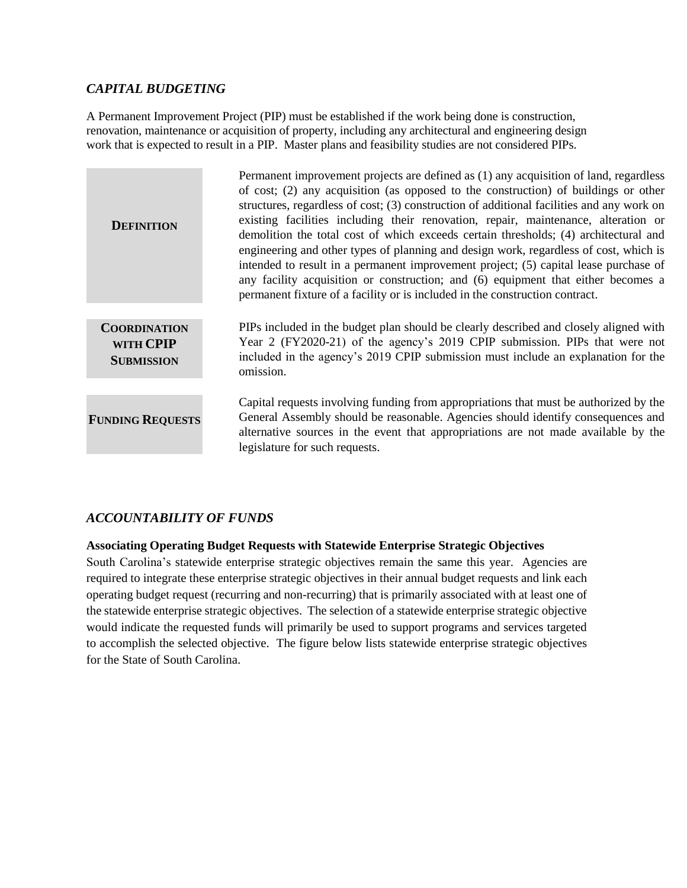## *CAPITAL BUDGETING*

A Permanent Improvement Project (PIP) must be established if the work being done is construction, renovation, maintenance or acquisition of property, including any architectural and engineering design work that is expected to result in a PIP. Master plans and feasibility studies are not considered PIPs.

| <b>DEFINITION</b>                                     | Permanent improvement projects are defined as (1) any acquisition of land, regardless<br>of cost; (2) any acquisition (as opposed to the construction) of buildings or other<br>structures, regardless of cost; (3) construction of additional facilities and any work on<br>existing facilities including their renovation, repair, maintenance, alteration or<br>demolition the total cost of which exceeds certain thresholds; (4) architectural and<br>engineering and other types of planning and design work, regardless of cost, which is<br>intended to result in a permanent improvement project; (5) capital lease purchase of<br>any facility acquisition or construction; and (6) equipment that either becomes a<br>permanent fixture of a facility or is included in the construction contract. |
|-------------------------------------------------------|---------------------------------------------------------------------------------------------------------------------------------------------------------------------------------------------------------------------------------------------------------------------------------------------------------------------------------------------------------------------------------------------------------------------------------------------------------------------------------------------------------------------------------------------------------------------------------------------------------------------------------------------------------------------------------------------------------------------------------------------------------------------------------------------------------------|
| <b>COORDINATION</b><br>WITH CPIP<br><b>SUBMISSION</b> | PIPs included in the budget plan should be clearly described and closely aligned with<br>Year 2 (FY2020-21) of the agency's 2019 CPIP submission. PIPs that were not<br>included in the agency's 2019 CPIP submission must include an explanation for the<br>omission.                                                                                                                                                                                                                                                                                                                                                                                                                                                                                                                                        |
| <b>FUNDING REQUESTS</b>                               | Capital requests involving funding from appropriations that must be authorized by the<br>General Assembly should be reasonable. Agencies should identify consequences and<br>alternative sources in the event that appropriations are not made available by the<br>legislature for such requests.                                                                                                                                                                                                                                                                                                                                                                                                                                                                                                             |

# *ACCOUNTABILITY OF FUNDS*

#### **Associating Operating Budget Requests with Statewide Enterprise Strategic Objectives**

South Carolina's statewide enterprise strategic objectives remain the same this year. Agencies are required to integrate these enterprise strategic objectives in their annual budget requests and link each operating budget request (recurring and non-recurring) that is primarily associated with at least one of the statewide enterprise strategic objectives. The selection of a statewide enterprise strategic objective would indicate the requested funds will primarily be used to support programs and services targeted to accomplish the selected objective. The figure below lists statewide enterprise strategic objectives for the State of South Carolina.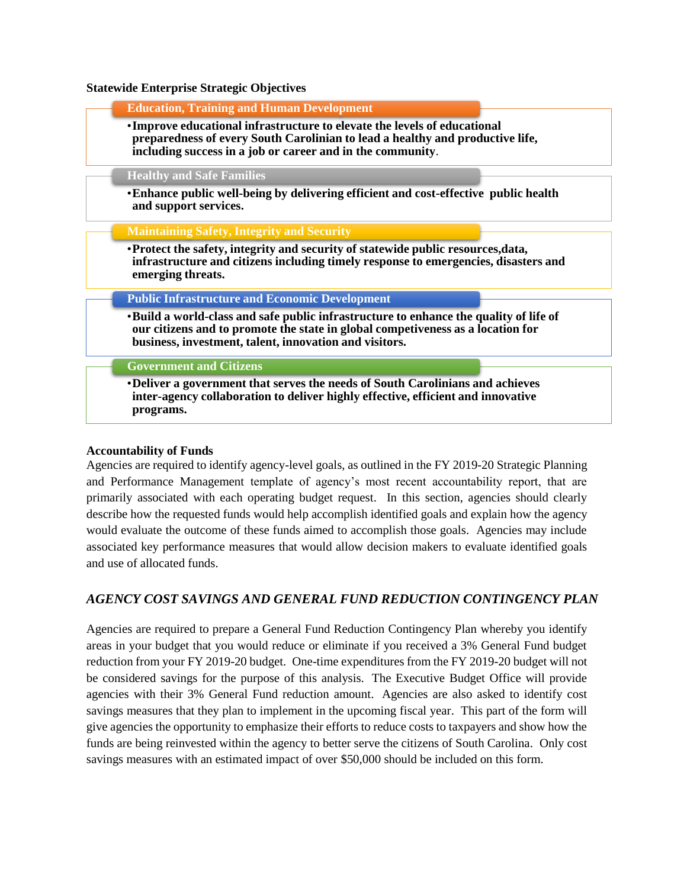#### **Statewide Enterprise Strategic Objectives**

|                                  | <b>Education, Training and Human Development</b>                                                                                                                                                                                    |                                                                                     |  |
|----------------------------------|-------------------------------------------------------------------------------------------------------------------------------------------------------------------------------------------------------------------------------------|-------------------------------------------------------------------------------------|--|
|                                  | • Improve educational infrastructure to elevate the levels of educational<br>preparedness of every South Carolinian to lead a healthy and productive life,<br>including success in a job or career and in the community.            |                                                                                     |  |
| <b>Healthy and Safe Families</b> |                                                                                                                                                                                                                                     |                                                                                     |  |
| and support services.            | • Enhance public well-being by delivering efficient and cost-effective public health                                                                                                                                                |                                                                                     |  |
|                                  | <b>Maintaining Safety, Integrity and Security</b>                                                                                                                                                                                   |                                                                                     |  |
|                                  | • Protect the safety, integrity and security of statewide public resources, data,                                                                                                                                                   |                                                                                     |  |
| emerging threats.                |                                                                                                                                                                                                                                     | infrastructure and citizens including timely response to emergencies, disasters and |  |
|                                  | <b>Public Infrastructure and Economic Development</b>                                                                                                                                                                               |                                                                                     |  |
|                                  | . Build a world-class and safe public infrastructure to enhance the quality of life of<br>our citizens and to promote the state in global competiveness as a location for<br>business, investment, talent, innovation and visitors. |                                                                                     |  |
| <b>Government and Citizens</b>   |                                                                                                                                                                                                                                     |                                                                                     |  |

#### **Accountability of Funds**

Agencies are required to identify agency-level goals, as outlined in the FY 2019-20 Strategic Planning and Performance Management template of agency's most recent accountability report, that are primarily associated with each operating budget request. In this section, agencies should clearly describe how the requested funds would help accomplish identified goals and explain how the agency would evaluate the outcome of these funds aimed to accomplish those goals. Agencies may include associated key performance measures that would allow decision makers to evaluate identified goals and use of allocated funds.

#### *AGENCY COST SAVINGS AND GENERAL FUND REDUCTION CONTINGENCY PLAN*

Agencies are required to prepare a General Fund Reduction Contingency Plan whereby you identify areas in your budget that you would reduce or eliminate if you received a 3% General Fund budget reduction from your FY 2019-20 budget. One-time expenditures from the FY 2019-20 budget will not be considered savings for the purpose of this analysis. The Executive Budget Office will provide agencies with their 3% General Fund reduction amount. Agencies are also asked to identify cost savings measures that they plan to implement in the upcoming fiscal year. This part of the form will give agencies the opportunity to emphasize their efforts to reduce costs to taxpayers and show how the funds are being reinvested within the agency to better serve the citizens of South Carolina. Only cost savings measures with an estimated impact of over \$50,000 should be included on this form.